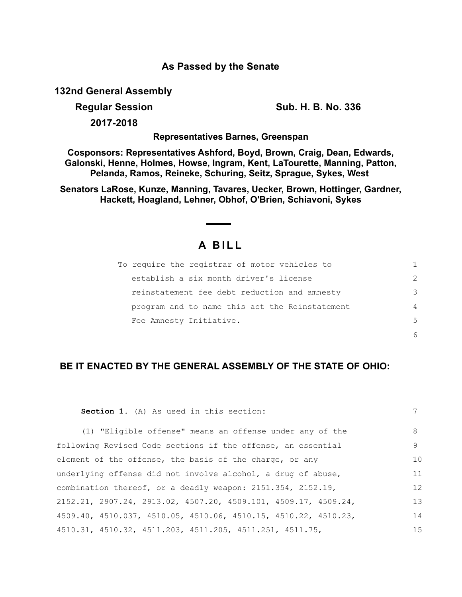## **As Passed by the Senate**

**132nd General Assembly**

**Regular Session Sub. H. B. No. 336**

**2017-2018**

**Representatives Barnes, Greenspan**

**Cosponsors: Representatives Ashford, Boyd, Brown, Craig, Dean, Edwards, Galonski, Henne, Holmes, Howse, Ingram, Kent, LaTourette, Manning, Patton, Pelanda, Ramos, Reineke, Schuring, Seitz, Sprague, Sykes, West** 

**Senators LaRose, Kunze, Manning, Tavares, Uecker, Brown, Hottinger, Gardner, Hackett, Hoagland, Lehner, Obhof, O'Brien, Schiavoni, Sykes**

## **A BILL**

| To require the registrar of motor vehicles to  |               |
|------------------------------------------------|---------------|
| establish a six month driver's license         | $\mathcal{L}$ |
| reinstatement fee debt reduction and amnesty   | 3             |
| program and to name this act the Reinstatement | 4             |
| Fee Amnesty Initiative.                        | $5^{\circ}$   |
|                                                |               |

## **BE IT ENACTED BY THE GENERAL ASSEMBLY OF THE STATE OF OHIO:**

| Section 1. (A) As used in this section:                           | 7   |
|-------------------------------------------------------------------|-----|
| (1) "Eligible offense" means an offense under any of the          | 8   |
| following Revised Code sections if the offense, an essential      | 9   |
| element of the offense, the basis of the charge, or any           | 10  |
| underlying offense did not involve alcohol, a drug of abuse,      | 11  |
| combination thereof, or a deadly weapon: 2151.354, 2152.19,       | 12  |
| $2152.21, 2907.24, 2913.02, 4507.20, 4509.101, 4509.17, 4509.24,$ | 13  |
| 4509.40, 4510.037, 4510.05, 4510.06, 4510.15, 4510.22, 4510.23,   | 14  |
| 4510.31, 4510.32, 4511.203, 4511.205, 4511.251, 4511.75,          | 1.5 |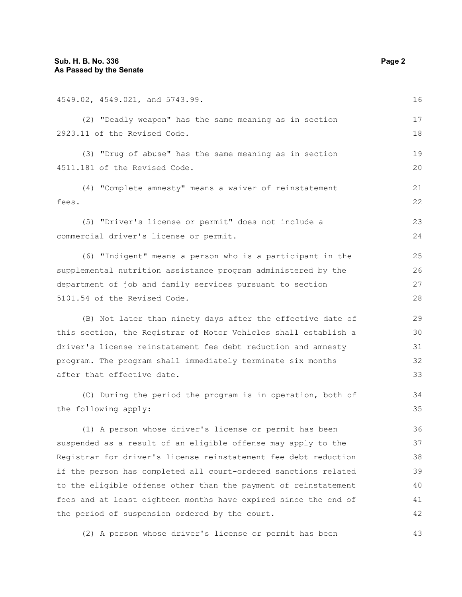| 4549.02, 4549.021, and 5743.99.                                 | 16 |
|-----------------------------------------------------------------|----|
| (2) "Deadly weapon" has the same meaning as in section          | 17 |
| 2923.11 of the Revised Code.                                    | 18 |
| (3) "Drug of abuse" has the same meaning as in section          | 19 |
| 4511.181 of the Revised Code.                                   | 20 |
| (4) "Complete amnesty" means a waiver of reinstatement          | 21 |
| fees.                                                           | 22 |
| (5) "Driver's license or permit" does not include a             | 23 |
| commercial driver's license or permit.                          | 24 |
| (6) "Indigent" means a person who is a participant in the       | 25 |
| supplemental nutrition assistance program administered by the   | 26 |
| department of job and family services pursuant to section       |    |
| 5101.54 of the Revised Code.                                    |    |
| (B) Not later than ninety days after the effective date of      | 29 |
| this section, the Registrar of Motor Vehicles shall establish a | 30 |
| driver's license reinstatement fee debt reduction and amnesty   |    |
| program. The program shall immediately terminate six months     | 32 |
| after that effective date.                                      | 33 |
| (C) During the period the program is in operation, both of      | 34 |
| the following apply:                                            | 35 |
| (1) A person whose driver's license or permit has been          | 36 |
| suspended as a result of an eligible offense may apply to the   |    |
| Registrar for driver's license reinstatement fee debt reduction |    |
| if the person has completed all court-ordered sanctions related | 39 |
| to the eligible offense other than the payment of reinstatement | 40 |
| fees and at least eighteen months have expired since the end of | 41 |

(2) A person whose driver's license or permit has been

the period of suspension ordered by the court.

42

43